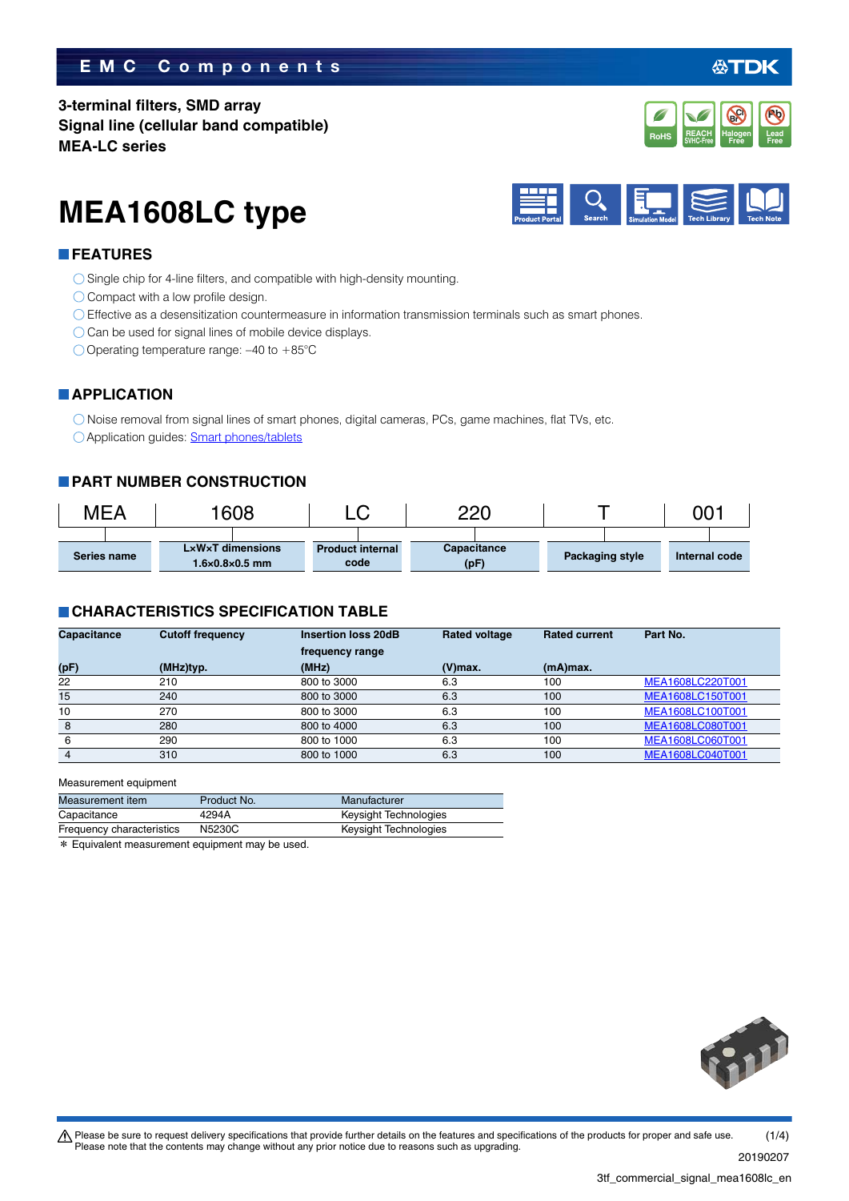#### **EMC Components**

**3-terminal filters, SMD array Signal line (cellular band compatible) MEA-LC series**

# **MEA1608LC type**



#### **FEATURES**

- ◯ Single chip for 4-line filters, and compatible with high-density mounting.
- Compact with a low profile design.
- Effective as a desensitization countermeasure in information transmission terminals such as smart phones.
- $\bigcirc$  Can be used for signal lines of mobile device displays.
- O Operating temperature range: -40 to +85°C

#### **APPLICATION**

Noise removal from signal lines of smart phones, digital cameras, PCs, game machines, flat TVs, etc. Application guides: [Smart phones/tablets](https://product.tdk.com/info/en/applicationguide/smartphone_tablet/index.html?utm_source=3tf_commercial_signal_mea1608lc_en.pdf&utm_medium=catalog)

#### **PART NUMBER CONSTRUCTION**

| MEA         |  | 1608 |                                                    | ⌒ |                                 | חרר |                     |  |                 | 00.           |  |
|-------------|--|------|----------------------------------------------------|---|---------------------------------|-----|---------------------|--|-----------------|---------------|--|
| Series name |  |      | LxWxT dimensions<br>$1.6 \times 0.8 \times 0.5$ mm |   | <b>Product internal</b><br>code |     | Capacitance<br>(pF) |  | Packaging style | Internal code |  |

#### **CHARACTERISTICS SPECIFICATION TABLE**

| <b>Capacitance</b> | <b>Cutoff frequency</b> | <b>Insertion loss 20dB</b> | <b>Rated voltage</b> | <b>Rated current</b> | Part No.         |
|--------------------|-------------------------|----------------------------|----------------------|----------------------|------------------|
|                    |                         | frequency range            |                      |                      |                  |
| (pF)               | (MHz)typ.               | (MHz)                      | $(V)$ max.           | $(mA)$ max.          |                  |
| 22                 | 210                     | 800 to 3000                | 6.3                  | 100                  | MEA1608LC220T001 |
| 15                 | 240                     | 800 to 3000                | 6.3                  | 100                  | MEA1608LC150T001 |
| 10                 | 270                     | 800 to 3000                | 6.3                  | 100                  | MEA1608LC100T001 |
| 8                  | 280                     | 800 to 4000                | 6.3                  | 100                  | MEA1608LC080T001 |
| 6                  | 290                     | 800 to 1000                | 6.3                  | 100                  | MEA1608LC060T001 |
|                    | 310                     | 800 to 1000                | 6.3                  | 100                  | MEA1608LC040T001 |

Measurement equipment

| Capacitance<br>4294A                | Keysight Technologies |
|-------------------------------------|-----------------------|
| Frequency characteristics<br>N5230C | Keysight Technologies |

\* Equivalent measurement equipment may be used.



20190207

公TDK

**Pb**

**REACH** Halogen Lead<br>SVHC-Free Free Free **RoHS** SVHC-Free **Free Free** 

**Halogen Free Br Cl**

**REACH**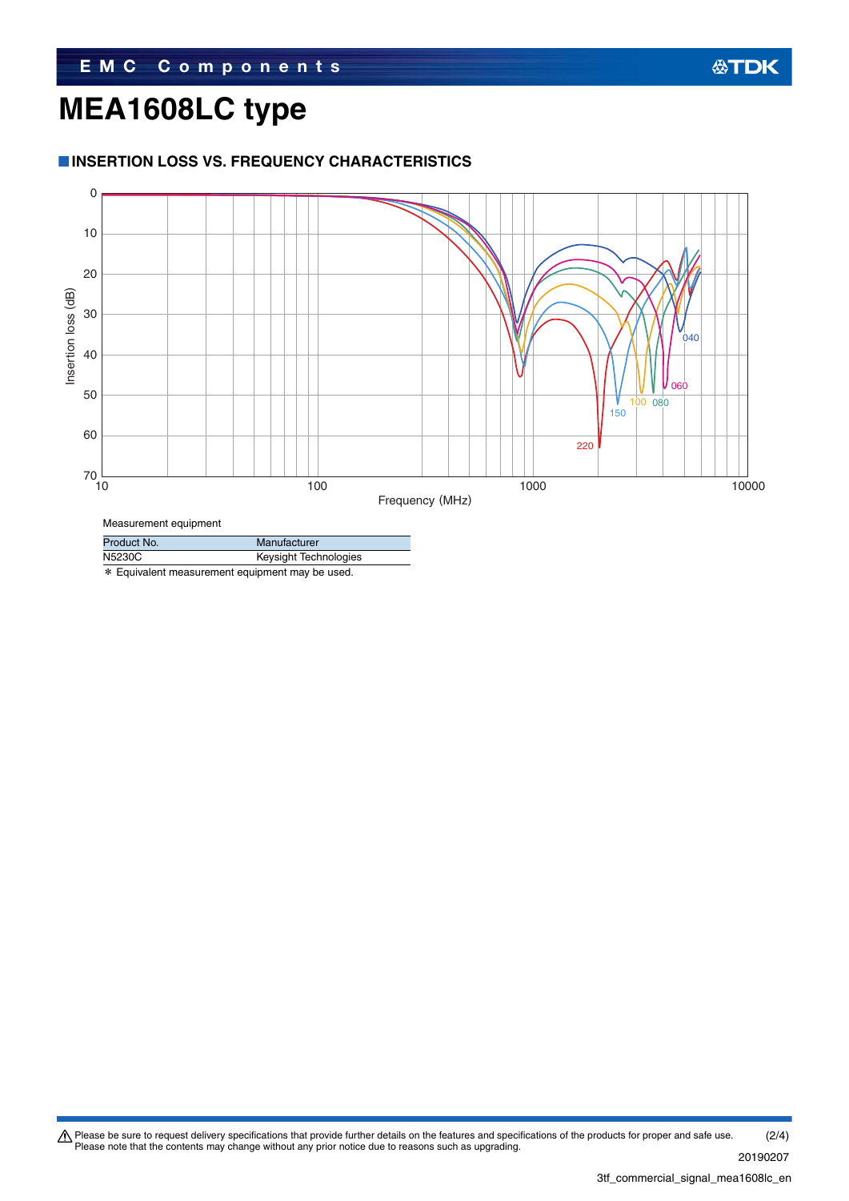## **MEA1608LC type**

#### **INSERTION LOSS VS. FREQUENCY CHARACTERISTICS**



Product No. Manufacturer N5230C Keysight Technologies

\* Equivalent measurement equipment may be used.

Please be sure to request delivery specifications that provide further details on the features and specifications of the products for proper and safe use.<br>Please note that the contents may change without any prior notice d 20190207 (2/4)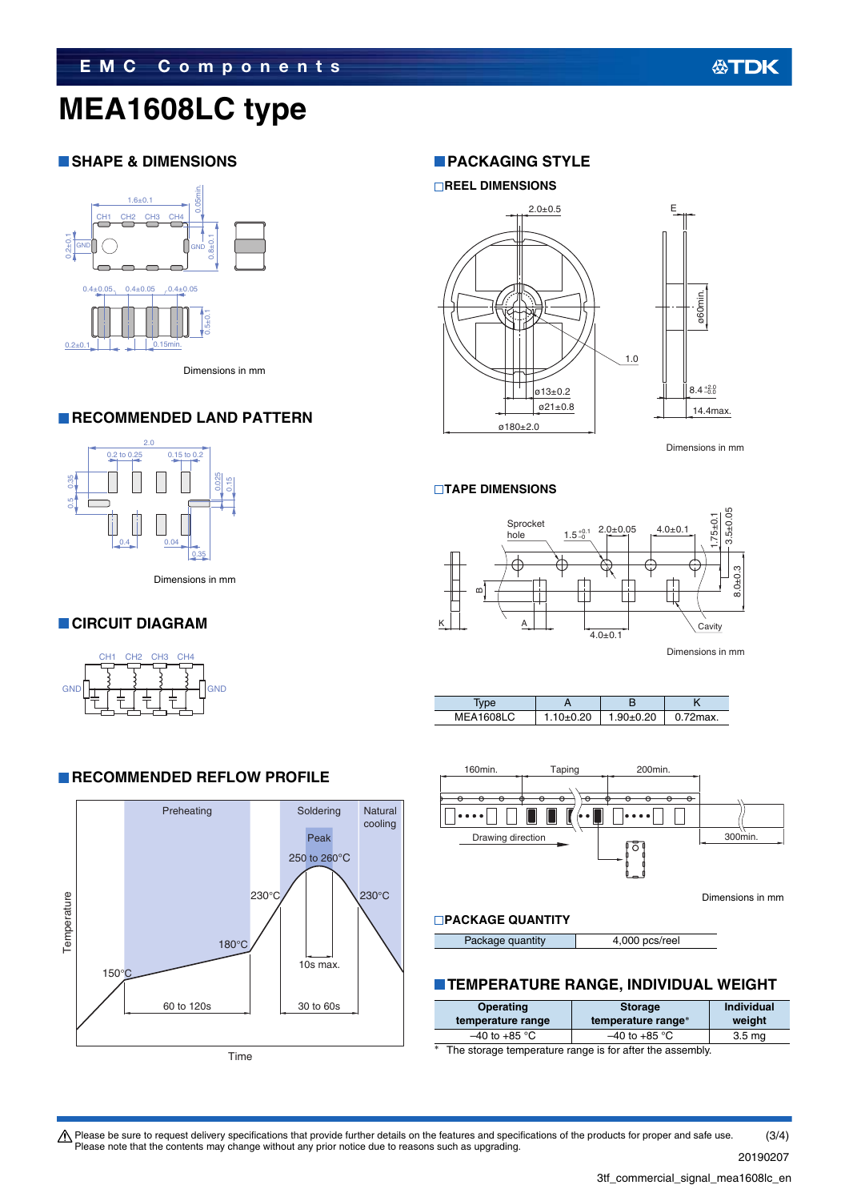## **MEA1608LC type**

#### **SHAPE & DIMENSIONS**



Dimensions in mm

#### **RECOMMENDED LAND PATTERN**



Dimensions in mm

**RECOMMENDED REFLOW PROFILE** 

#### **CIRCUIT DIAGRAM**



#### Preheating Soldering **Natural** cooling Peak 250 to 260°C  $230^{\circ}$ C  $\sqrt{230^{\circ}$ C Temperature Temperature 180°C 10s max. 150°C 60 to 120s 30 to 60s

Time

#### **PACKAGING STYLE**

#### **REEL DIMENSIONS**



Dimensions in mm

#### **TAPE DIMENSIONS**









Dimensions in mm

#### **PACKAGE QUANTITY**

Package quantity 4,000 pcs/reel

#### **TEMPERATURE RANGE, INDIVIDUAL WEIGHT**

| Operating<br>temperature range | <b>Storage</b><br>temperature range* | <b>Individual</b><br>weight |
|--------------------------------|--------------------------------------|-----------------------------|
| $-40$ to +85 °C                | $-40$ to +85 °C                      | 3.5 <sub>ma</sub>           |
|                                |                                      |                             |

The storage temperature range is for after the assembly.

 $\bigwedge$  Please be sure to request delivery specifications that provide further details on the features and specifications of the products for proper and safe use. Please note that the contents may change without any prior notice due to reasons such as upgrading. (3/4)